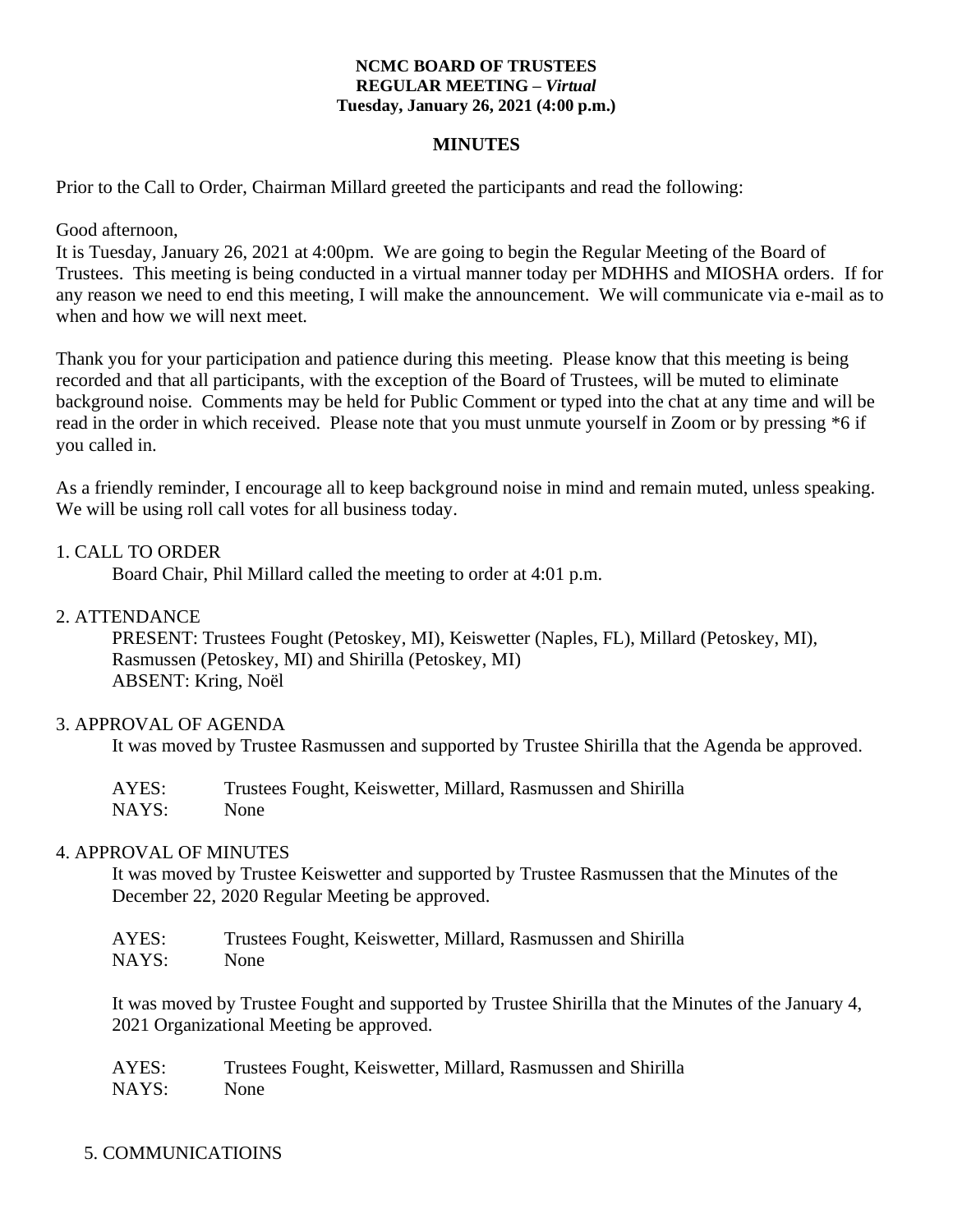#### **NCMC BOARD OF TRUSTEES REGULAR MEETING –** *Virtual* **Tuesday, January 26, 2021 (4:00 p.m.)**

#### **MINUTES**

Prior to the Call to Order, Chairman Millard greeted the participants and read the following:

Good afternoon,

It is Tuesday, January 26, 2021 at 4:00pm. We are going to begin the Regular Meeting of the Board of Trustees. This meeting is being conducted in a virtual manner today per MDHHS and MIOSHA orders. If for any reason we need to end this meeting, I will make the announcement. We will communicate via e-mail as to when and how we will next meet.

Thank you for your participation and patience during this meeting. Please know that this meeting is being recorded and that all participants, with the exception of the Board of Trustees, will be muted to eliminate background noise. Comments may be held for Public Comment or typed into the chat at any time and will be read in the order in which received. Please note that you must unmute yourself in Zoom or by pressing \*6 if you called in.

As a friendly reminder, I encourage all to keep background noise in mind and remain muted, unless speaking. We will be using roll call votes for all business today.

### 1. CALL TO ORDER

Board Chair, Phil Millard called the meeting to order at 4:01 p.m.

#### 2. ATTENDANCE

PRESENT: Trustees Fought (Petoskey, MI), Keiswetter (Naples, FL), Millard (Petoskey, MI), Rasmussen (Petoskey, MI) and Shirilla (Petoskey, MI) ABSENT: Kring, Noël

#### 3. APPROVAL OF AGENDA

It was moved by Trustee Rasmussen and supported by Trustee Shirilla that the Agenda be approved.

AYES: Trustees Fought, Keiswetter, Millard, Rasmussen and Shirilla NAYS: None

#### 4. APPROVAL OF MINUTES

It was moved by Trustee Keiswetter and supported by Trustee Rasmussen that the Minutes of the December 22, 2020 Regular Meeting be approved.

| AYES: | Trustees Fought, Keiswetter, Millard, Rasmussen and Shirilla |
|-------|--------------------------------------------------------------|
| NAYS: | None                                                         |

It was moved by Trustee Fought and supported by Trustee Shirilla that the Minutes of the January 4, 2021 Organizational Meeting be approved.

| AYES: | Trustees Fought, Keiswetter, Millard, Rasmussen and Shirilla |
|-------|--------------------------------------------------------------|
| NAYS: | None                                                         |

### 5. COMMUNICATIOINS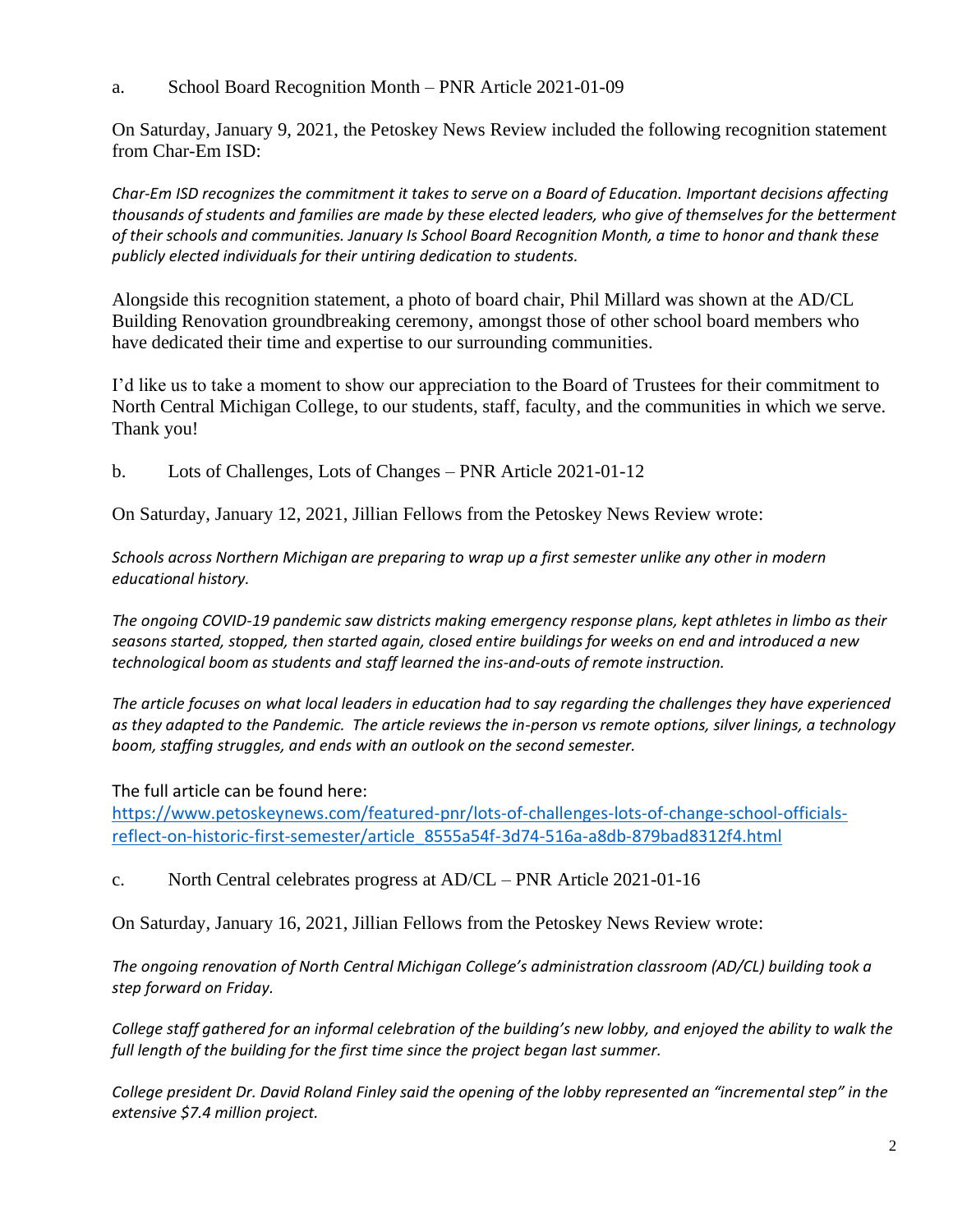a. School Board Recognition Month – PNR Article 2021-01-09

On Saturday, January 9, 2021, the Petoskey News Review included the following recognition statement from Char-Em ISD:

*Char-Em ISD recognizes the commitment it takes to serve on a Board of Education. Important decisions affecting thousands of students and families are made by these elected leaders, who give of themselves for the betterment of their schools and communities. January Is School Board Recognition Month, a time to honor and thank these publicly elected individuals for their untiring dedication to students.*

Alongside this recognition statement, a photo of board chair, Phil Millard was shown at the AD/CL Building Renovation groundbreaking ceremony, amongst those of other school board members who have dedicated their time and expertise to our surrounding communities.

I'd like us to take a moment to show our appreciation to the Board of Trustees for their commitment to North Central Michigan College, to our students, staff, faculty, and the communities in which we serve. Thank you!

b. Lots of Challenges, Lots of Changes – PNR Article 2021-01-12

On Saturday, January 12, 2021, Jillian Fellows from the Petoskey News Review wrote:

*Schools across Northern Michigan are preparing to wrap up a first semester unlike any other in modern educational history.*

*The ongoing COVID-19 pandemic saw districts making emergency response plans, kept athletes in limbo as their seasons started, stopped, then started again, closed entire buildings for weeks on end and introduced a new technological boom as students and staff learned the ins-and-outs of remote instruction.*

*The article focuses on what local leaders in education had to say regarding the challenges they have experienced as they adapted to the Pandemic. The article reviews the in-person vs remote options, silver linings, a technology boom, staffing struggles, and ends with an outlook on the second semester.* 

The full article can be found here:

[https://www.petoskeynews.com/featured-pnr/lots-of-challenges-lots-of-change-school-officials](https://www.petoskeynews.com/featured-pnr/lots-of-challenges-lots-of-change-school-officials-reflect-on-historic-first-semester/article_8555a54f-3d74-516a-a8db-879bad8312f4.html)[reflect-on-historic-first-semester/article\\_8555a54f-3d74-516a-a8db-879bad8312f4.html](https://www.petoskeynews.com/featured-pnr/lots-of-challenges-lots-of-change-school-officials-reflect-on-historic-first-semester/article_8555a54f-3d74-516a-a8db-879bad8312f4.html)

c. North Central celebrates progress at AD/CL – PNR Article 2021-01-16

On Saturday, January 16, 2021, Jillian Fellows from the Petoskey News Review wrote:

*The ongoing renovation of North Central Michigan College's administration classroom (AD/CL) building took a step forward on Friday.*

*College staff gathered for an informal celebration of the building's new lobby, and enjoyed the ability to walk the full length of the building for the first time since the project began last summer.*

*College president Dr. David Roland Finley said the opening of the lobby represented an "incremental step" in the extensive \$7.4 million project.*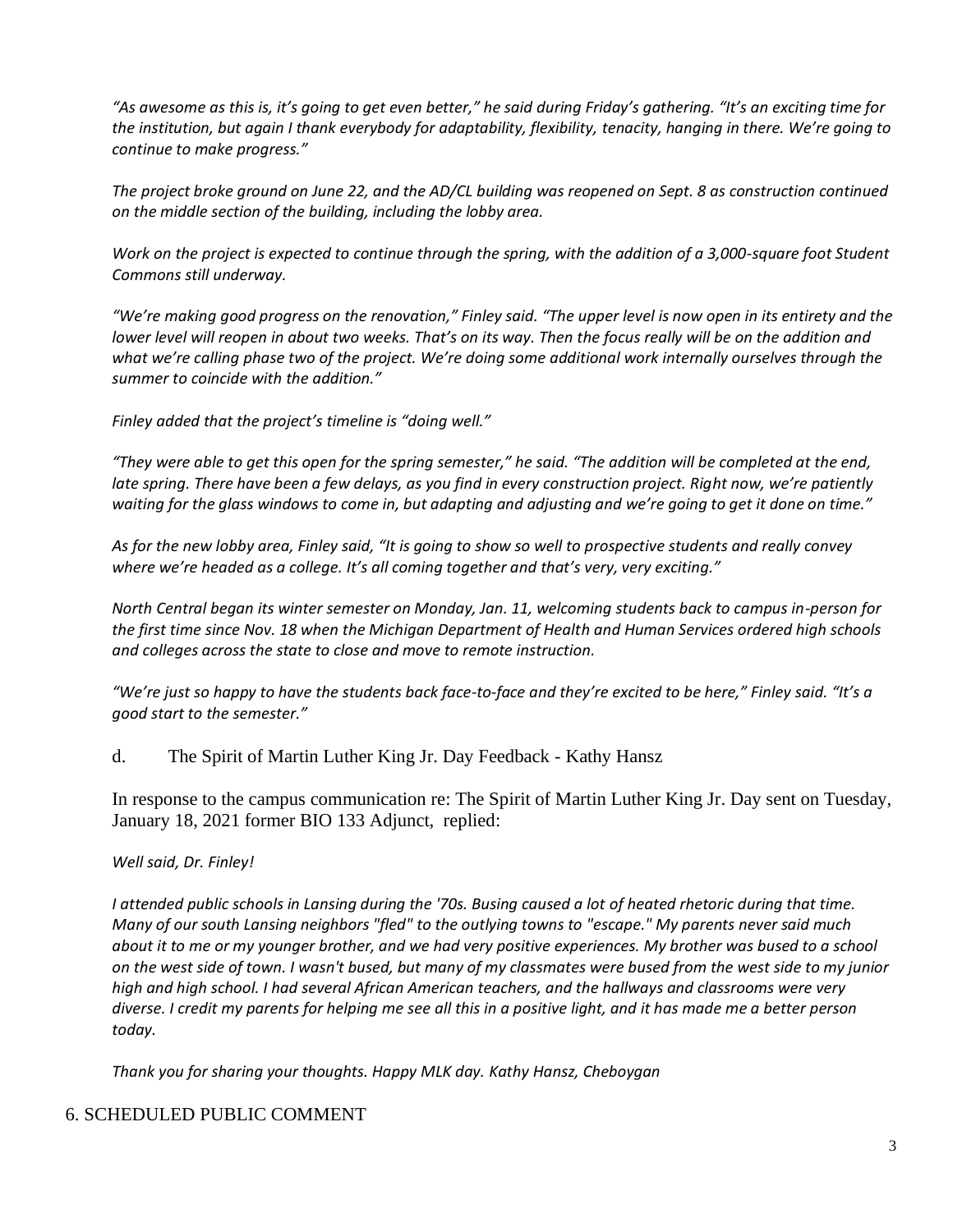*"As awesome as this is, it's going to get even better," he said during Friday's gathering. "It's an exciting time for the institution, but again I thank everybody for adaptability, flexibility, tenacity, hanging in there. We're going to continue to make progress."*

*The project broke ground on June 22, and the AD/CL building was reopened on Sept. 8 as construction continued on the middle section of the building, including the lobby area.*

*Work on the project is expected to continue through the spring, with the addition of a 3,000-square foot Student Commons still underway.*

*"We're making good progress on the renovation," Finley said. "The upper level is now open in its entirety and the lower level will reopen in about two weeks. That's on its way. Then the focus really will be on the addition and what we're calling phase two of the project. We're doing some additional work internally ourselves through the summer to coincide with the addition."*

*Finley added that the project's timeline is "doing well."*

*"They were able to get this open for the spring semester," he said. "The addition will be completed at the end, late spring. There have been a few delays, as you find in every construction project. Right now, we're patiently waiting for the glass windows to come in, but adapting and adjusting and we're going to get it done on time."*

*As for the new lobby area, Finley said, "It is going to show so well to prospective students and really convey where we're headed as a college. It's all coming together and that's very, very exciting."*

*North Central began its winter semester on Monday, Jan. 11, welcoming students back to campus in-person for the first time since Nov. 18 when the Michigan Department of Health and Human Services ordered high schools and colleges across the state to close and move to remote instruction.*

*"We're just so happy to have the students back face-to-face and they're excited to be here," Finley said. "It's a good start to the semester."*

d. The Spirit of Martin Luther King Jr. Day Feedback - Kathy Hansz

In response to the campus communication re: The Spirit of Martin Luther King Jr. Day sent on Tuesday, January 18, 2021 former BIO 133 Adjunct, replied:

*Well said, Dr. Finley!*

*I attended public schools in Lansing during the '70s. Busing caused a lot of heated rhetoric during that time. Many of our south Lansing neighbors "fled" to the outlying towns to "escape." My parents never said much about it to me or my younger brother, and we had very positive experiences. My brother was bused to a school on the west side of town. I wasn't bused, but many of my classmates were bused from the west side to my junior high and high school. I had several African American teachers, and the hallways and classrooms were very diverse. I credit my parents for helping me see all this in a positive light, and it has made me a better person today.*

*Thank you for sharing your thoughts. Happy MLK day. Kathy Hansz, Cheboygan*

### 6. SCHEDULED PUBLIC COMMENT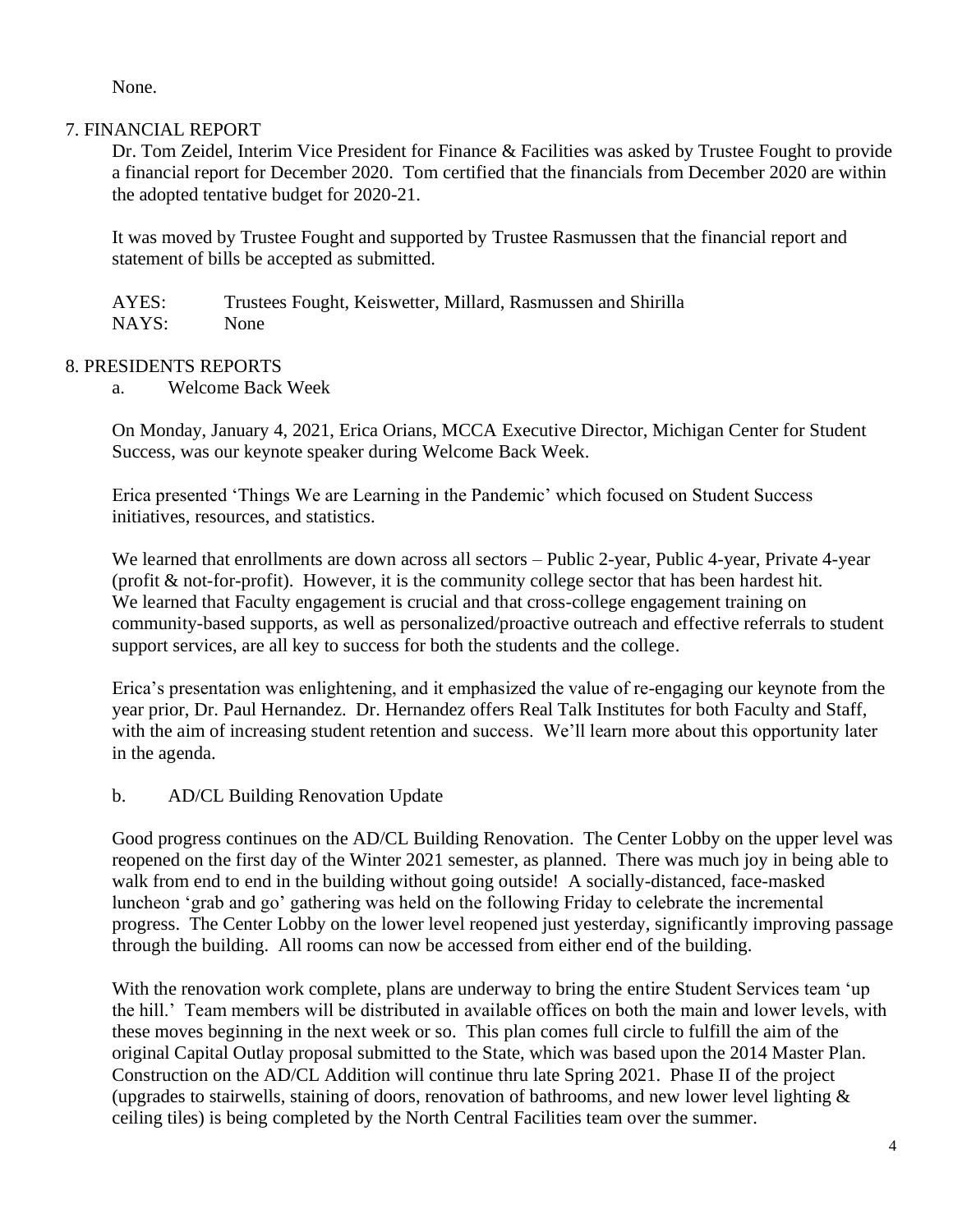None.

## 7. FINANCIAL REPORT

Dr. Tom Zeidel, Interim Vice President for Finance & Facilities was asked by Trustee Fought to provide a financial report for December 2020. Tom certified that the financials from December 2020 are within the adopted tentative budget for 2020-21.

It was moved by Trustee Fought and supported by Trustee Rasmussen that the financial report and statement of bills be accepted as submitted.

AYES: Trustees Fought, Keiswetter, Millard, Rasmussen and Shirilla NAYS: None

## 8. PRESIDENTS REPORTS

a. Welcome Back Week

On Monday, January 4, 2021, Erica Orians, MCCA Executive Director, Michigan Center for Student Success, was our keynote speaker during Welcome Back Week.

Erica presented 'Things We are Learning in the Pandemic' which focused on Student Success initiatives, resources, and statistics.

We learned that enrollments are down across all sectors – Public 2-year, Public 4-year, Private 4-year (profit & not-for-profit). However, it is the community college sector that has been hardest hit. We learned that Faculty engagement is crucial and that cross-college engagement training on community-based supports, as well as personalized/proactive outreach and effective referrals to student support services, are all key to success for both the students and the college.

Erica's presentation was enlightening, and it emphasized the value of re-engaging our keynote from the year prior, Dr. Paul Hernandez. Dr. Hernandez offers Real Talk Institutes for both Faculty and Staff, with the aim of increasing student retention and success. We'll learn more about this opportunity later in the agenda.

b. AD/CL Building Renovation Update

Good progress continues on the AD/CL Building Renovation. The Center Lobby on the upper level was reopened on the first day of the Winter 2021 semester, as planned. There was much joy in being able to walk from end to end in the building without going outside! A socially-distanced, face-masked luncheon 'grab and go' gathering was held on the following Friday to celebrate the incremental progress. The Center Lobby on the lower level reopened just yesterday, significantly improving passage through the building. All rooms can now be accessed from either end of the building.

With the renovation work complete, plans are underway to bring the entire Student Services team 'up the hill.' Team members will be distributed in available offices on both the main and lower levels, with these moves beginning in the next week or so. This plan comes full circle to fulfill the aim of the original Capital Outlay proposal submitted to the State, which was based upon the 2014 Master Plan. Construction on the AD/CL Addition will continue thru late Spring 2021. Phase II of the project (upgrades to stairwells, staining of doors, renovation of bathrooms, and new lower level lighting  $\&$ ceiling tiles) is being completed by the North Central Facilities team over the summer.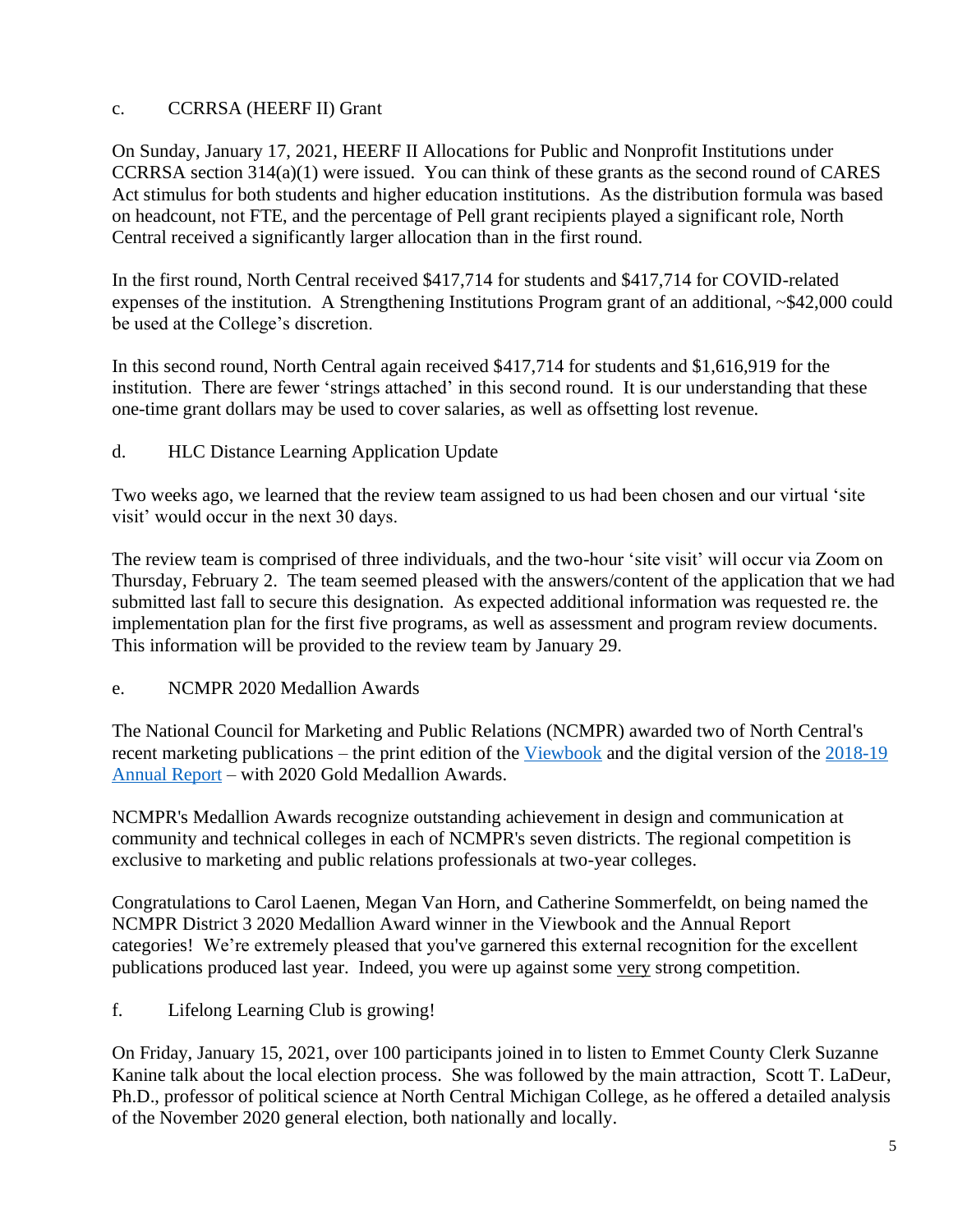# c. CCRRSA (HEERF II) Grant

On Sunday, January 17, 2021, HEERF II Allocations for Public and Nonprofit Institutions under CCRRSA section 314(a)(1) were issued. You can think of these grants as the second round of CARES Act stimulus for both students and higher education institutions. As the distribution formula was based on headcount, not FTE, and the percentage of Pell grant recipients played a significant role, North Central received a significantly larger allocation than in the first round.

In the first round, North Central received \$417,714 for students and \$417,714 for COVID-related expenses of the institution. A Strengthening Institutions Program grant of an additional, ~\$42,000 could be used at the College's discretion.

In this second round, North Central again received \$417,714 for students and \$1,616,919 for the institution. There are fewer 'strings attached' in this second round. It is our understanding that these one-time grant dollars may be used to cover salaries, as well as offsetting lost revenue.

d. HLC Distance Learning Application Update

Two weeks ago, we learned that the review team assigned to us had been chosen and our virtual 'site visit' would occur in the next 30 days.

The review team is comprised of three individuals, and the two-hour 'site visit' will occur via Zoom on Thursday, February 2. The team seemed pleased with the answers/content of the application that we had submitted last fall to secure this designation. As expected additional information was requested re. the implementation plan for the first five programs, as well as assessment and program review documents. This information will be provided to the review team by January 29.

e. NCMPR 2020 Medallion Awards

The National Council for Marketing and Public Relations (NCMPR) awarded two of North Central's recent marketing publications – the print edition of the [Viewbook](https://linkprotect.cudasvc.com/url?a=https%3a%2f%2fncmich.us11.list-manage.com%2ftrack%2fclick%3fu%3de1d8400468fe5dbefe3751c07%26id%3d09221b97da%26e%3deb7b6f5a23&c=E,1,xT1n1zYrQes-Z7cogfGDoDJX41h5iEzUI0O6_vTnbSjfOCQEsPKOhV9R_HFXJ5ZOVgmIh1WBQAVEIDcchiqDCFCucrBtrmFyfTZeen1KHyDD&typo=1) and the digital version of the [2018-19](https://linkprotect.cudasvc.com/url?a=https%3a%2f%2fncmich.us11.list-manage.com%2ftrack%2fclick%3fu%3de1d8400468fe5dbefe3751c07%26id%3deb645ece4c%26e%3deb7b6f5a23&c=E,1,DvgAu4TOfopJw2vi1HQuuQA84LqOuyOpmgn5mUqFUlHu4_I__mZr74jLiH7ckeBDkSz_ypqAG-Ng5InTebSifRzf9vawZGnTmbo8uKu6rn_gdQIk&typo=1)  [Annual Report](https://linkprotect.cudasvc.com/url?a=https%3a%2f%2fncmich.us11.list-manage.com%2ftrack%2fclick%3fu%3de1d8400468fe5dbefe3751c07%26id%3deb645ece4c%26e%3deb7b6f5a23&c=E,1,DvgAu4TOfopJw2vi1HQuuQA84LqOuyOpmgn5mUqFUlHu4_I__mZr74jLiH7ckeBDkSz_ypqAG-Ng5InTebSifRzf9vawZGnTmbo8uKu6rn_gdQIk&typo=1) – with 2020 Gold Medallion Awards.

NCMPR's Medallion Awards recognize outstanding achievement in design and communication at community and technical colleges in each of NCMPR's seven districts. The regional competition is exclusive to marketing and public relations professionals at two-year colleges.

Congratulations to Carol Laenen, Megan Van Horn, and Catherine Sommerfeldt, on being named the NCMPR District 3 2020 Medallion Award winner in the Viewbook and the Annual Report categories! We're extremely pleased that you've garnered this external recognition for the excellent publications produced last year. Indeed, you were up against some very strong competition.

f. Lifelong Learning Club is growing!

On Friday, January 15, 2021, over 100 participants joined in to listen to Emmet County Clerk Suzanne Kanine talk about the local election process. She was followed by the main attraction, Scott T. LaDeur, Ph.D., professor of political science at North Central Michigan College, as he offered a detailed analysis of the November 2020 general election, both nationally and locally.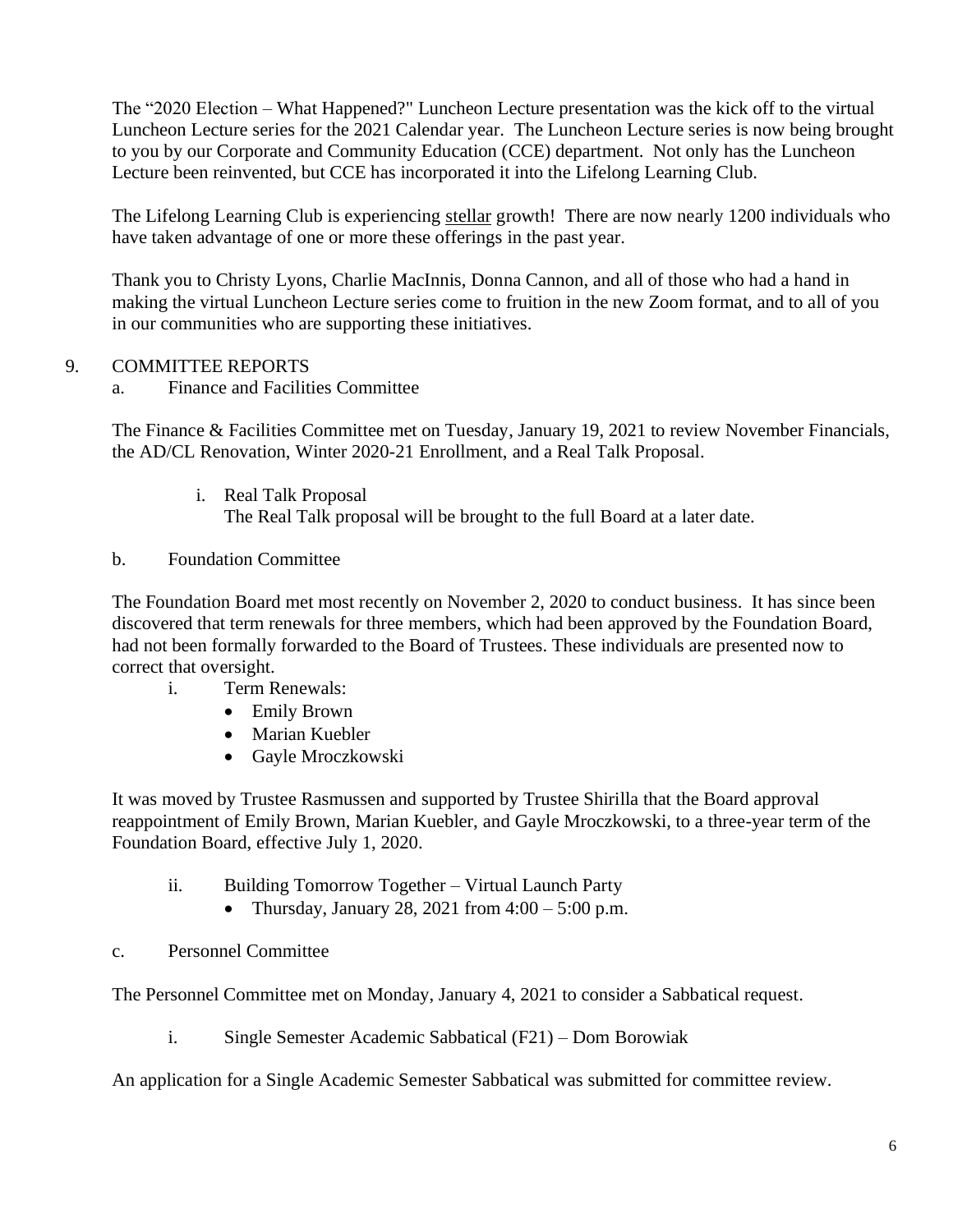The "2020 Election – What Happened?" Luncheon Lecture presentation was the kick off to the virtual Luncheon Lecture series for the 2021 Calendar year. The Luncheon Lecture series is now being brought to you by our Corporate and Community Education (CCE) department. Not only has the Luncheon Lecture been reinvented, but CCE has incorporated it into the Lifelong Learning Club.

The Lifelong Learning Club is experiencing stellar growth! There are now nearly 1200 individuals who have taken advantage of one or more these offerings in the past year.

Thank you to Christy Lyons, Charlie MacInnis, Donna Cannon, and all of those who had a hand in making the virtual Luncheon Lecture series come to fruition in the new Zoom format, and to all of you in our communities who are supporting these initiatives.

# 9. COMMITTEE REPORTS

a. Finance and Facilities Committee

The Finance & Facilities Committee met on Tuesday, January 19, 2021 to review November Financials, the AD/CL Renovation, Winter 2020-21 Enrollment, and a Real Talk Proposal.

- i. Real Talk Proposal The Real Talk proposal will be brought to the full Board at a later date.
- b. Foundation Committee

The Foundation Board met most recently on November 2, 2020 to conduct business. It has since been discovered that term renewals for three members, which had been approved by the Foundation Board, had not been formally forwarded to the Board of Trustees. These individuals are presented now to correct that oversight.

- i. Term Renewals:
	- Emily Brown
	- Marian Kuebler
	- Gayle Mroczkowski

It was moved by Trustee Rasmussen and supported by Trustee Shirilla that the Board approval reappointment of Emily Brown, Marian Kuebler, and Gayle Mroczkowski, to a three-year term of the Foundation Board, effective July 1, 2020.

- ii. Building Tomorrow Together Virtual Launch Party
	- Thursday, January 28, 2021 from  $4:00 5:00$  p.m.
- c. Personnel Committee

The Personnel Committee met on Monday, January 4, 2021 to consider a Sabbatical request.

i. Single Semester Academic Sabbatical (F21) – Dom Borowiak

An application for a Single Academic Semester Sabbatical was submitted for committee review.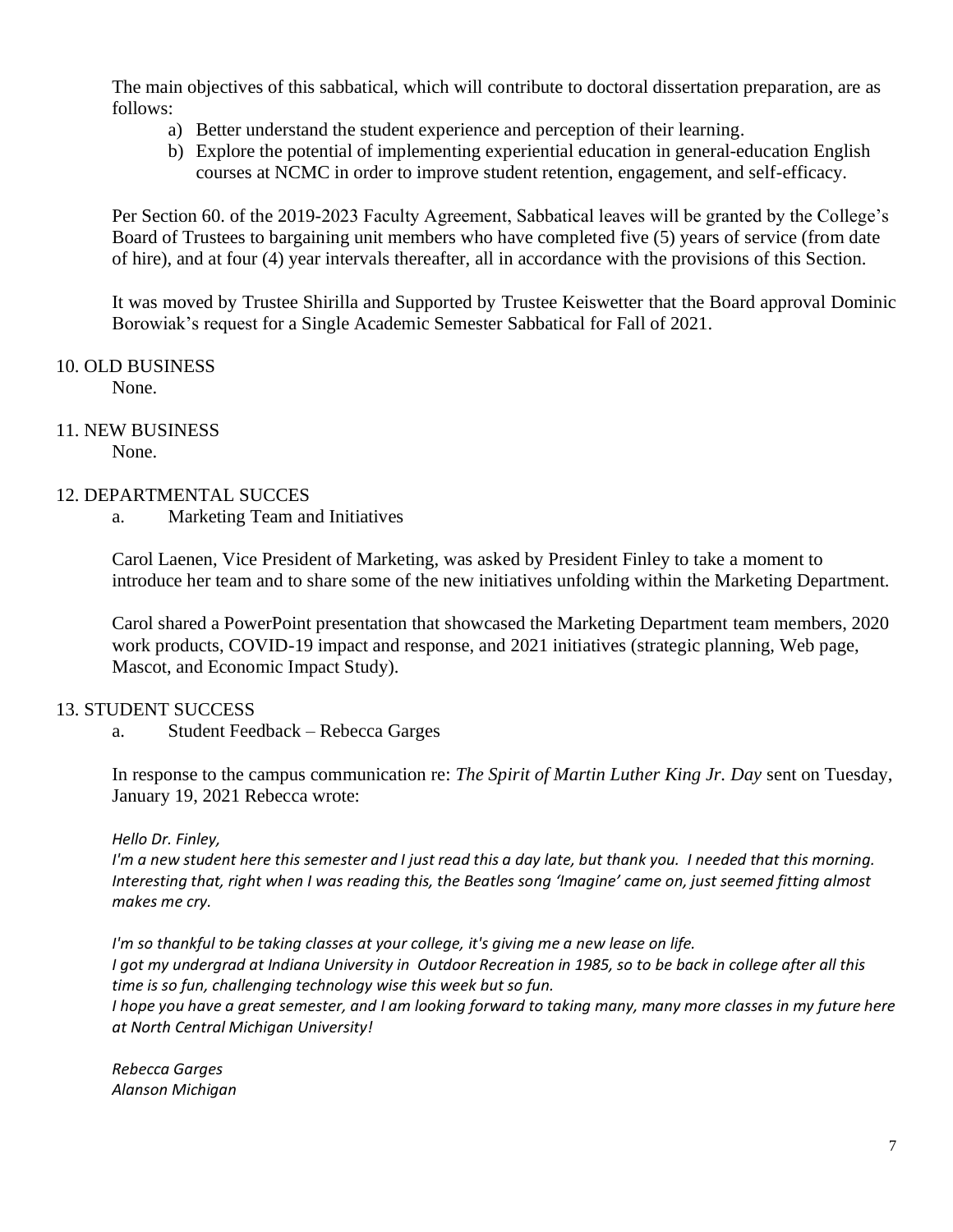The main objectives of this sabbatical, which will contribute to doctoral dissertation preparation, are as follows:

- a) Better understand the student experience and perception of their learning.
- b) Explore the potential of implementing experiential education in general-education English courses at NCMC in order to improve student retention, engagement, and self-efficacy.

Per Section 60. of the 2019-2023 Faculty Agreement, Sabbatical leaves will be granted by the College's Board of Trustees to bargaining unit members who have completed five (5) years of service (from date of hire), and at four (4) year intervals thereafter, all in accordance with the provisions of this Section.

It was moved by Trustee Shirilla and Supported by Trustee Keiswetter that the Board approval Dominic Borowiak's request for a Single Academic Semester Sabbatical for Fall of 2021.

10. OLD BUSINESS None.

## 11. NEW BUSINESS

None.

## 12. DEPARTMENTAL SUCCES

a. Marketing Team and Initiatives

Carol Laenen, Vice President of Marketing, was asked by President Finley to take a moment to introduce her team and to share some of the new initiatives unfolding within the Marketing Department.

Carol shared a PowerPoint presentation that showcased the Marketing Department team members, 2020 work products, COVID-19 impact and response, and 2021 initiatives (strategic planning, Web page, Mascot, and Economic Impact Study).

## 13. STUDENT SUCCESS

a. Student Feedback – Rebecca Garges

In response to the campus communication re: *The Spirit of Martin Luther King Jr. Day* sent on Tuesday, January 19, 2021 Rebecca wrote:

*Hello Dr. Finley,* 

*I'm a new student here this semester and I just read this a day late, but thank you. I needed that this morning. Interesting that, right when I was reading this, the Beatles song 'Imagine' came on, just seemed fitting almost makes me cry.*

*I'm so thankful to be taking classes at your college, it's giving me a new lease on life. I got my undergrad at Indiana University in Outdoor Recreation in 1985, so to be back in college after all this time is so fun, challenging technology wise this week but so fun.*

*I hope you have a great semester, and I am looking forward to taking many, many more classes in my future here at North Central Michigan University!*

*Rebecca Garges Alanson Michigan*